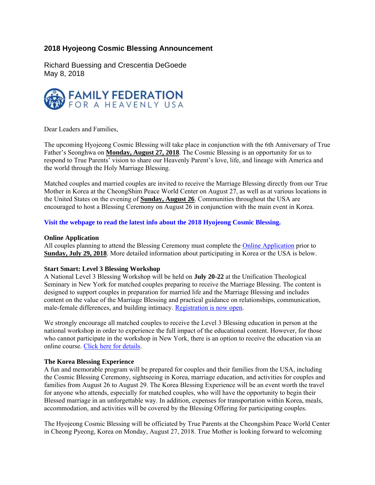# **2018 Hyojeong Cosmic Blessing Announcement**

Richard Buessing and Crescentia DeGoede May 8, 2018



Dear Leaders and Families,

The upcoming Hyojeong Cosmic Blessing will take place in conjunction with the 6th Anniversary of True Father's Seonghwa on **Monday, August 27, 2018**. The Cosmic Blessing is an opportunity for us to respond to True Parents' vision to share our Heavenly Parent's love, life, and lineage with America and the world through the Holy Marriage Blessing.

Matched couples and married couples are invited to receive the Marriage Blessing directly from our True Mother in Korea at the CheongShim Peace World Center on August 27, as well as at various locations in the United States on the evening of **Sunday, August 26**. Communities throughout the USA are encouraged to host a Blessing Ceremony on August 26 in conjunction with the main event in Korea.

**Visit the webpage to read the latest info about the 2018 Hyojeong Cosmic Blessing.**

# **Online Application**

All couples planning to attend the Blessing Ceremony must complete the Online Application prior to **Sunday, July 29, 2018**. More detailed information about participating in Korea or the USA is below.

# **Start Smart: Level 3 Blessing Workshop**

A National Level 3 Blessing Workshop will be held on **July 20-22** at the Unification Theological Seminary in New York for matched couples preparing to receive the Marriage Blessing. The content is designed to support couples in preparation for married life and the Marriage Blessing and includes content on the value of the Marriage Blessing and practical guidance on relationships, communication, male-female differences, and building intimacy. Registration is now open.

We strongly encourage all matched couples to receive the Level 3 Blessing education in person at the national workshop in order to experience the full impact of the educational content. However, for those who cannot participate in the workshop in New York, there is an option to receive the education via an online course. Click here for details.

# **The Korea Blessing Experience**

A fun and memorable program will be prepared for couples and their families from the USA, including the Cosmic Blessing Ceremony, sightseeing in Korea, marriage education, and activities for couples and families from August 26 to August 29. The Korea Blessing Experience will be an event worth the travel for anyone who attends, especially for matched couples, who will have the opportunity to begin their Blessed marriage in an unforgettable way. In addition, expenses for transportation within Korea, meals, accommodation, and activities will be covered by the Blessing Offering for participating couples.

The Hyojeong Cosmic Blessing will be officiated by True Parents at the Cheongshim Peace World Center in Cheong Pyeong, Korea on Monday, August 27, 2018. True Mother is looking forward to welcoming